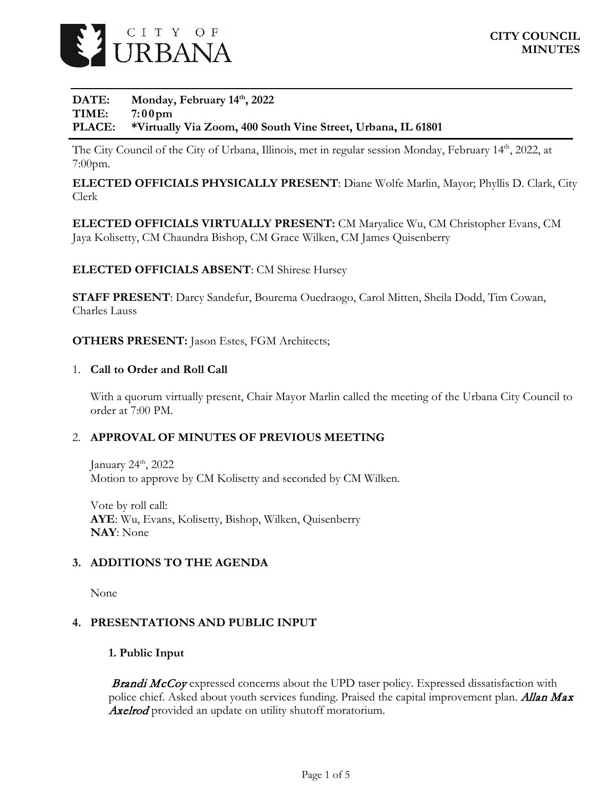

### DATE: Monday, February 14<sup>th</sup>, 2022 **TIME: 7:00pm PLACE: \*Virtually Via Zoom, 400 South Vine Street, Urbana, IL 61801**

The City Council of the City of Urbana, Illinois, met in regular session Monday, February 14th, 2022, at 7:00pm.

**ELECTED OFFICIALS PHYSICALLY PRESENT**: Diane Wolfe Marlin, Mayor; Phyllis D. Clark, City Clerk

**ELECTED OFFICIALS VIRTUALLY PRESENT:** CM Maryalice Wu, CM Christopher Evans, CM Jaya Kolisetty, CM Chaundra Bishop, CM Grace Wilken, CM James Quisenberry

## **ELECTED OFFICIALS ABSENT**: CM Shirese Hursey

**STAFF PRESENT**: Darcy Sandefur, Bourema Ouedraogo, Carol Mitten, Sheila Dodd, Tim Cowan, Charles Lauss

**OTHERS PRESENT:** Jason Estes, FGM Architects;

#### 1. **Call to Order and Roll Call**

With a quorum virtually present, Chair Mayor Marlin called the meeting of the Urbana City Council to order at 7:00 PM.

### 2. **APPROVAL OF MINUTES OF PREVIOUS MEETING**

January 24<sup>th</sup>, 2022 Motion to approve by CM Kolisetty and seconded by CM Wilken.

Vote by roll call: **AYE**: Wu, Evans, Kolisetty, Bishop, Wilken, Quisenberry **NAY**: None

### **3. ADDITIONS TO THE AGENDA**

None

### **4. PRESENTATIONS AND PUBLIC INPUT**

#### **1. Public Input**

**Brandi McCoy** expressed concerns about the UPD taser policy. Expressed dissatisfaction with police chief. Asked about youth services funding. Praised the capital improvement plan. Allan Max Axelrod provided an update on utility shutoff moratorium.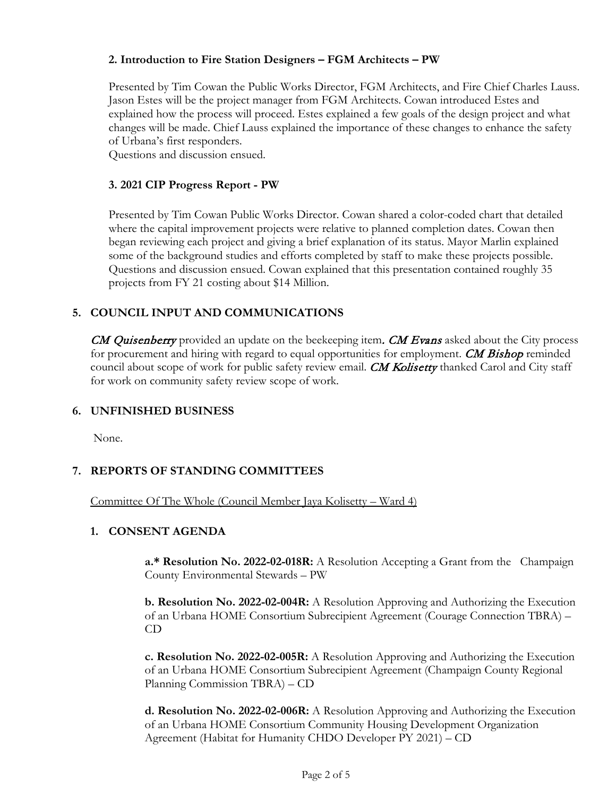## **2. Introduction to Fire Station Designers – FGM Architects – PW**

Presented by Tim Cowan the Public Works Director, FGM Architects, and Fire Chief Charles Lauss. Jason Estes will be the project manager from FGM Architects. Cowan introduced Estes and explained how the process will proceed. Estes explained a few goals of the design project and what changes will be made. Chief Lauss explained the importance of these changes to enhance the safety of Urbana's first responders.

Questions and discussion ensued.

## **3. 2021 CIP Progress Report - PW**

Presented by Tim Cowan Public Works Director. Cowan shared a color-coded chart that detailed where the capital improvement projects were relative to planned completion dates. Cowan then began reviewing each project and giving a brief explanation of its status. Mayor Marlin explained some of the background studies and efforts completed by staff to make these projects possible. Questions and discussion ensued. Cowan explained that this presentation contained roughly 35 projects from FY 21 costing about \$14 Million.

# **5. COUNCIL INPUT AND COMMUNICATIONS**

**CM Quisenberry** provided an update on the beekeeping item. **CM Evans** asked about the City process for procurement and hiring with regard to equal opportunities for employment. CM Bishop reminded council about scope of work for public safety review email. CM Kolisetty thanked Carol and City staff for work on community safety review scope of work.

## **6. UNFINISHED BUSINESS**

None.

## **7. REPORTS OF STANDING COMMITTEES**

Committee Of The Whole (Council Member Jaya Kolisetty – Ward 4)

### **1. CONSENT AGENDA**

**a.\* Resolution No. 2022-02-018R:** A Resolution Accepting a Grant from the Champaign County Environmental Stewards – PW

**b. Resolution No. 2022-02-004R:** A Resolution Approving and Authorizing the Execution of an Urbana HOME Consortium Subrecipient Agreement (Courage Connection TBRA) – CD

**c. Resolution No. 2022-02-005R:** A Resolution Approving and Authorizing the Execution of an Urbana HOME Consortium Subrecipient Agreement (Champaign County Regional Planning Commission TBRA) – CD

**d. Resolution No. 2022-02-006R:** A Resolution Approving and Authorizing the Execution of an Urbana HOME Consortium Community Housing Development Organization Agreement (Habitat for Humanity CHDO Developer PY 2021) – CD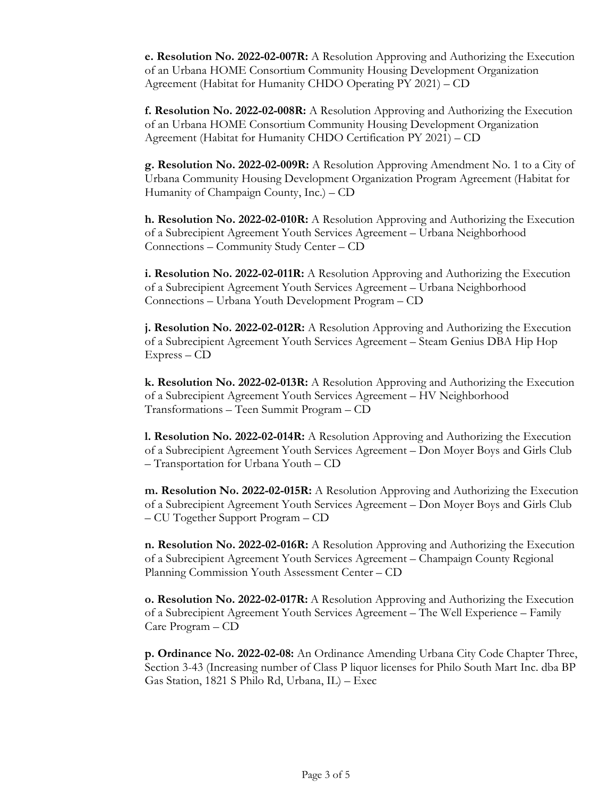**e. Resolution No. 2022-02-007R:** A Resolution Approving and Authorizing the Execution of an Urbana HOME Consortium Community Housing Development Organization Agreement (Habitat for Humanity CHDO Operating PY 2021) – CD

**f. Resolution No. 2022-02-008R:** A Resolution Approving and Authorizing the Execution of an Urbana HOME Consortium Community Housing Development Organization Agreement (Habitat for Humanity CHDO Certification PY 2021) – CD

**g. Resolution No. 2022-02-009R:** A Resolution Approving Amendment No. 1 to a City of Urbana Community Housing Development Organization Program Agreement (Habitat for Humanity of Champaign County, Inc.) – CD

**h. Resolution No. 2022-02-010R:** A Resolution Approving and Authorizing the Execution of a Subrecipient Agreement Youth Services Agreement – Urbana Neighborhood Connections – Community Study Center – CD

**i. Resolution No. 2022-02-011R:** A Resolution Approving and Authorizing the Execution of a Subrecipient Agreement Youth Services Agreement – Urbana Neighborhood Connections – Urbana Youth Development Program – CD

**j. Resolution No. 2022-02-012R:** A Resolution Approving and Authorizing the Execution of a Subrecipient Agreement Youth Services Agreement – Steam Genius DBA Hip Hop Express – CD

**k. Resolution No. 2022-02-013R:** A Resolution Approving and Authorizing the Execution of a Subrecipient Agreement Youth Services Agreement – HV Neighborhood Transformations – Teen Summit Program – CD

**l. Resolution No. 2022-02-014R:** A Resolution Approving and Authorizing the Execution of a Subrecipient Agreement Youth Services Agreement – Don Moyer Boys and Girls Club – Transportation for Urbana Youth – CD

**m. Resolution No. 2022-02-015R:** A Resolution Approving and Authorizing the Execution of a Subrecipient Agreement Youth Services Agreement – Don Moyer Boys and Girls Club – CU Together Support Program – CD

**n. Resolution No. 2022-02-016R:** A Resolution Approving and Authorizing the Execution of a Subrecipient Agreement Youth Services Agreement – Champaign County Regional Planning Commission Youth Assessment Center – CD

**o. Resolution No. 2022-02-017R:** A Resolution Approving and Authorizing the Execution of a Subrecipient Agreement Youth Services Agreement – The Well Experience – Family Care Program – CD

**p. Ordinance No. 2022-02-08:** An Ordinance Amending Urbana City Code Chapter Three, Section 3-43 (Increasing number of Class P liquor licenses for Philo South Mart Inc. dba BP Gas Station, 1821 S Philo Rd, Urbana, IL) – Exec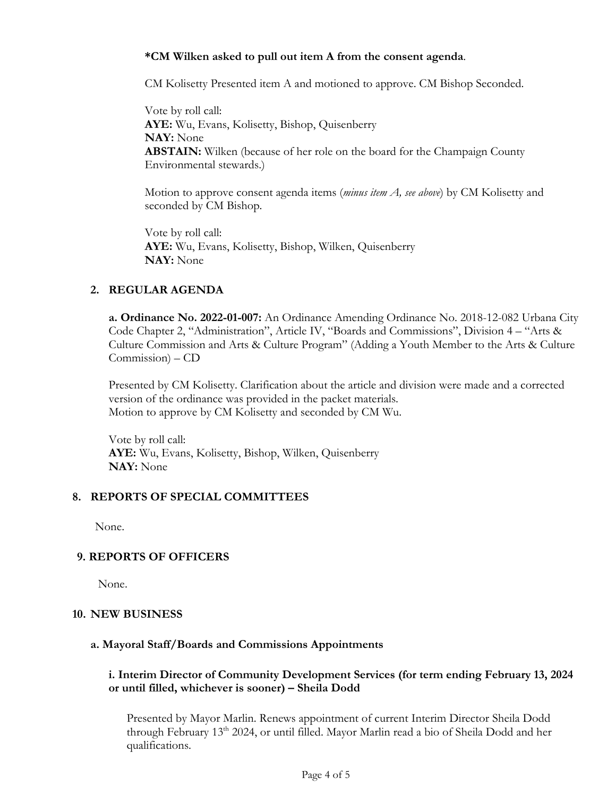### **\*CM Wilken asked to pull out item A from the consent agenda**.

CM Kolisetty Presented item A and motioned to approve. CM Bishop Seconded.

Vote by roll call: **AYE:** Wu, Evans, Kolisetty, Bishop, Quisenberry **NAY:** None **ABSTAIN:** Wilken (because of her role on the board for the Champaign County Environmental stewards.)

Motion to approve consent agenda items (*minus item A, see above*) by CM Kolisetty and seconded by CM Bishop.

Vote by roll call: **AYE:** Wu, Evans, Kolisetty, Bishop, Wilken, Quisenberry **NAY:** None

# **2. REGULAR AGENDA**

**a. Ordinance No. 2022-01-007:** An Ordinance Amending Ordinance No. 2018-12-082 Urbana City Code Chapter 2, "Administration", Article IV, "Boards and Commissions", Division 4 – "Arts & Culture Commission and Arts & Culture Program" (Adding a Youth Member to the Arts & Culture Commission) – CD

Presented by CM Kolisetty. Clarification about the article and division were made and a corrected version of the ordinance was provided in the packet materials. Motion to approve by CM Kolisetty and seconded by CM Wu.

Vote by roll call: **AYE:** Wu, Evans, Kolisetty, Bishop, Wilken, Quisenberry **NAY:** None

### **8. REPORTS OF SPECIAL COMMITTEES**

None.

## **9. REPORTS OF OFFICERS**

None.

### **10. NEW BUSINESS**

### **a. Mayoral Staff/Boards and Commissions Appointments**

## **i. Interim Director of Community Development Services (for term ending February 13, 2024 or until filled, whichever is sooner) – Sheila Dodd**

Presented by Mayor Marlin. Renews appointment of current Interim Director Sheila Dodd through February 13<sup>th</sup> 2024, or until filled. Mayor Marlin read a bio of Sheila Dodd and her qualifications.